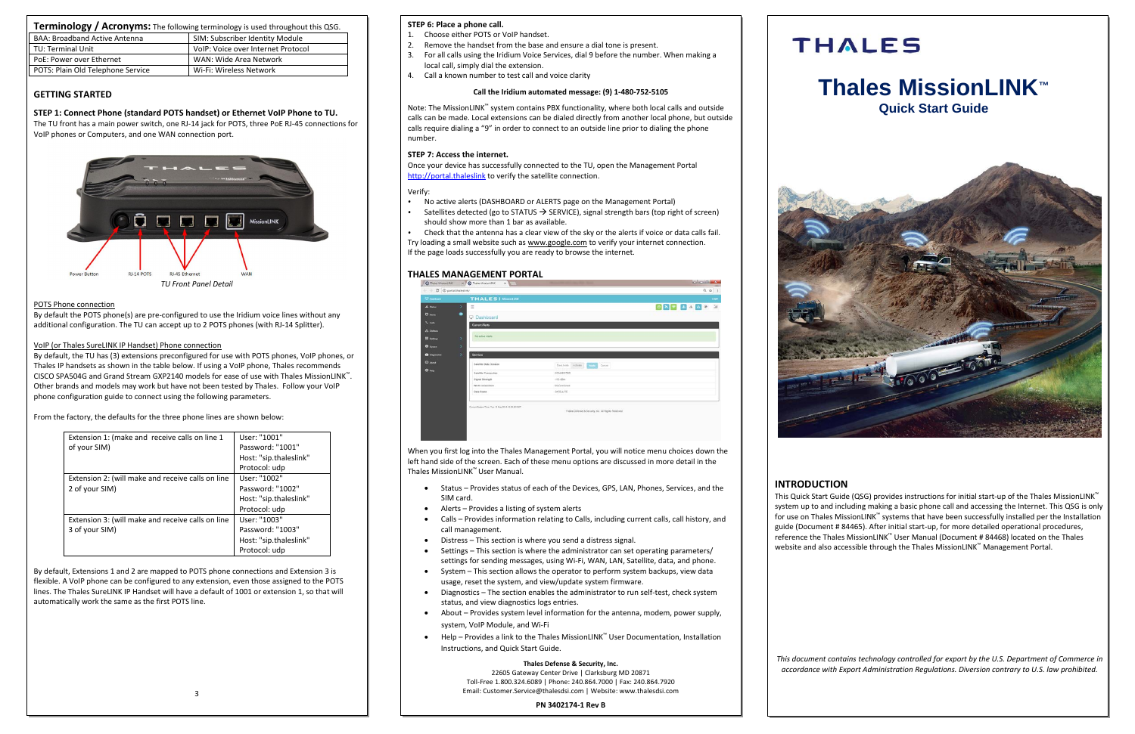## **INTRODUCTION**

This Quick Start Guide (QSG) provides instructions for initial start-up of the Thales MissionLINK™ system up to and including making a basic phone call and accessing the Internet. This QSG is only for use on Thales MissionLINK™ systems that have been successfully installed per the Installation guide (Document # 84465). After initial start-up, for more detailed operational procedures, reference the Thales MissionLINK™ User Manual (Document # 84468) located on the Thales website and also accessible through the Thales MissionLINK™ Management Portal.

*This document contains technology controlled for export by the U.S. Department of Commerce in accordance with Export Administration Regulations. Diversion contrary to U.S. law prohibited.*

| Terminology / Acronyms: The following terminology is used throughout this QSG. |                                    |  |
|--------------------------------------------------------------------------------|------------------------------------|--|
| BAA: Broadband Active Antenna                                                  | SIM: Subscriber Identity Module    |  |
| TU: Terminal Unit                                                              | VoIP: Voice over Internet Protocol |  |
| PoE: Power over Ethernet                                                       | WAN: Wide Area Network             |  |
| POTS: Plain Old Telephone Service                                              | Wi-Fi: Wireless Network            |  |

## **GETTING STARTED**

## **STEP 1: Connect Phone (standard POTS handset) or Ethernet VoIP Phone to TU.**

The TU front has a main power switch, one RJ-14 jack for POTS, three PoE RJ-45 connections for VoIP phones or Computers, and one WAN connection port.



## POTS Phone connection

By default the POTS phone(s) are pre-configured to use the Iridium voice lines without any additional configuration. The TU can accept up to 2 POTS phones (with RJ-14 Splitter).

## VoIP (or Thales SureLINK IP Handset) Phone connection

By default, the TU has (3) extensions preconfigured for use with POTS phones, VoIP phones, or Thales IP handsets as shown in the table below. If using a VoIP phone, Thales recommends CISCO SPA504G and Grand Stream GXP2140 models for ease of use with Thales MissionLINK™. Other brands and models may work but have not been tested by Thales. Follow your VoIP phone configuration guide to connect using the following parameters.

From the factory, the defaults for the three phone lines are shown below:

| Extension 1: (make and receive calls on line 1    | User: "1001"           |
|---------------------------------------------------|------------------------|
| of your SIM)                                      | Password: "1001"       |
|                                                   | Host: "sip.thaleslink" |
|                                                   | Protocol: udp          |
| Extension 2: (will make and receive calls on line | User: "1002"           |
| 2 of your SIM)                                    | Password: "1002"       |
|                                                   | Host: "sip.thaleslink" |
|                                                   | Protocol: udp          |
| Extension 3: (will make and receive calls on line | User: "1003"           |
| 3 of your SIM)                                    | Password: "1003"       |
|                                                   | Host: "sip.thaleslink" |
|                                                   | Protocol: udp          |

By default, Extensions 1 and 2 are mapped to POTS phone connections and Extension 3 is flexible. A VoIP phone can be configured to any extension, even those assigned to the POTS lines. The Thales SureLINK IP Handset will have a default of 1001 or extension 1, so that will automatically work the same as the first POTS line.



## **STEP 6: Place a phone call.**

- 1. Choose either POTS or VoIP handset.
- 2. Remove the handset from the base and ensure a dial tone is present.
- 3. For all calls using the Iridium Voice Services, dial 9 before the number. When making a local call, simply dial the extension.
- 4. Call a known number to test call and voice clarity

## **Call the Iridium automated message: (9) 1-480-752-5105**

Note: The MissionLINK™ system contains PBX functionality, where both local calls and outside calls can be made. Local extensions can be dialed directly from another local phone, but outside calls require dialing a "9" in order to connect to an outside line prior to dialing the phone number.

## **STEP 7: Access the internet.**

Once your device has successfully connected to the TU, open the Management Portal http://portal.thaleslink to verify the satellite connection.

## Verify:

- No active alerts (DASHBOARD or ALERTS page on the Management Portal)
- Satellites detected (go to STATUS  $\rightarrow$  SERVICE), signal strength bars (top right of screen) should show more than 1 bar as available.

• Check that the antenna has a clear view of the sky or the alerts if voice or data calls fail. Try loading a small website such as www.google.com to verify your internet connection.

If the page loads successfully you are ready to browse the internet.

## **THALES MANAGEMENT PORTAL**

| <b>Q</b> business   |               | <b>THALES   MODOLINK</b> |                                        |  | Loge |
|---------------------|---------------|--------------------------|----------------------------------------|--|------|
| AL Distant          | $\mathcal{N}$ | Ξ                        |                                        |  |      |
| <b>C</b> Airms      | ۰             | Dashboard                |                                        |  |      |
| <b>L</b> Calls      |               | <b>Current Alerts</b>    |                                        |  |      |
| A Dama              |               |                          |                                        |  |      |
| <b>III</b> Settings | ٠             | <b>No active Alerts</b>  |                                        |  |      |
| <b>O</b> System     | ×             |                          |                                        |  |      |
| <b>O</b> Degrestion | ×             | <b>Services</b>          |                                        |  |      |
| <b>C</b> About      |               | Satelite Data Session    | Deactivate Activate   County<br>Cancel |  |      |
| <b>O</b> Help       |               | Satellite Connection     | <b>CONNECTED</b>                       |  |      |
|                     |               | Signal Strength          | $.115$ other                           |  |      |
|                     |               | WAN Connection           | Disconnected                           |  |      |
|                     |               | <b>Data Eoute</b>        | SATELLITE                              |  |      |

When you first log into the Thales Management Portal, you will notice menu choices down the left hand side of the screen. Each of these menu options are discussed in more detail in the Thales MissionLINK™ User Manual.

- Status Provides status of each of the Devices, GPS, LAN, Phones, Services, and the SIM card.
- Alerts Provides a listing of system alerts
- Calls Provides information relating to Calls, including current calls, call history, and call management.
- Distress This section is where you send a distress signal.
- Settings This section is where the administrator can set operating parameters/ settings for sending messages, using Wi-Fi, WAN, LAN, Satellite, data, and phone.
- System This section allows the operator to perform system backups, view data usage, reset the system, and view/update system firmware.
- Diagnostics The section enables the administrator to run self-test, check system status, and view diagnostics logs entries.
- About Provides system level information for the antenna, modem, power supply, system, VoIP Module, and Wi-Fi
- Help Provides a link to the Thales MissionLINK™ User Documentation, Installation Instructions, and Quick Start Guide.

## **Thales Defense & Security, Inc.**

22605 Gateway Center Drive | Clarksburg MD 20871 Toll-Free 1.800.324.6089 | Phone: 240.864.7000 | Fax: 240.864.7920 Email: Customer.Service@thalesdsi.com | Website: www.thalesdsi.com

**PN 3402174-1 Rev B**



# **Thales MissionLINK™ Quick Start Guide**